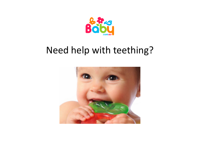

## Need help with teething?

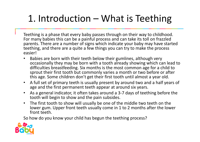## 1. Introduction – What is Teething

Teething is a phase that every baby passes through on their way to childhood. For many babies this can be a painful process and can take its toll on frazzled parents. There are a number of signs which indicate your baby may have started teething, and there are a quite a few things you can try to make the process easier!

- • Babies are born with their teeth below their gumlines, although very occasionally they may be born with a tooth already showing which can lead to difficulties breastfeeding. Six months is the most common age for a child to sprout their first tooth but commonly varies a month or two before or after this age. Some children don't get their first tooth until almost a year old.
- A full set of primary teeth is usually present by around two and a half years of age and the first permanent teeth appear at around six years.
- • As a general indicator, it often takes around a 3-7 days of teething before the tooth will begin to show and the pain subsides.
- • The first tooth to show will usually be one of the middle two teeth on the lower gum. Upper front teeth usually come in 1 to 2 months after the lower front teeth.

So how do you know your child has begun the teething process?

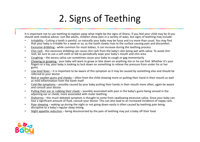## 2. Signs of Teething

It is important not to use teething to explain away what might be the signs of illness. If you feel your child may be ill youshould seek medical advice. Just like adults, children show pain in a variety of ways, but signs of teething may include:

- •• Irritability - Cutting a tooth is painful, so naturally your baby may be fussy and cry more than usual. You may find that your baby is irritable for a week or so, as the tooth slowly rises to the surface causing pain and discomfort.
- •Excessive dribbling - while common for most babies, it can increase during the teething process.
- •• Chin rash - this excessive dribbling can cause chin rash from the baby's skin being wet with saliva. To avoid chin rash, be sure to use a soft cloth or bib to periodically wipe your baby's mouth and chin area.
- •• Coughing – the excess saliva can sometimes cause your baby to cough or gag momentarily
- • Chewing or gnawing - your baby will want to gnaw or bite down on anything she or he can find. Whether it's your fingers or a toy, your baby is looking to lock down on something to relieve the pressure from under his or her gums.
- •• Low level fever – it is important to be aware of this symptom as it may be caused by something else and should be referred to your doctor
- Red or swollen gums and cheeks often from the child chewing more or putting their hand in their mouth as well •as mild inflammation from the tooth itself
- • Cold-like symptoms – possibly caused by your baby putting their hands in their mouth more often, again be aware and consult your doctor.
- • Pulling their ear or rubbing their cheek – possibly associated with pain in the baby's gums being sensed in the adjoining ear or cheek, more associated with molar teething.
- •• Diahorrea – this much debated symptom is thought to come from swallowing excessive saliva. Since your baby can lose a significant amount of fluid, consult your doctor. This can also lead to an increased incidence of nappy rash.
- • Poor sleeping – waking up during the night or not going down easily is often caused by teething pain being disruptive to a baby's regular sleep timing.
- •Slight appetite reduction – being disconcerted by the pain of teething may put a baby off their food